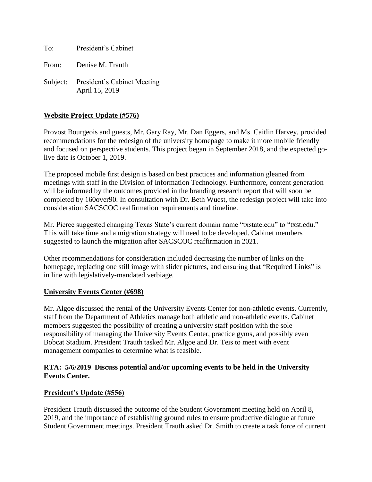To: President's Cabinet

From: Denise M. Trauth

Subject: President's Cabinet Meeting April 15, 2019

## **Website Project Update (#576)**

Provost Bourgeois and guests, Mr. Gary Ray, Mr. Dan Eggers, and Ms. Caitlin Harvey, provided recommendations for the redesign of the university homepage to make it more mobile friendly and focused on perspective students. This project began in September 2018, and the expected golive date is October 1, 2019.

The proposed mobile first design is based on best practices and information gleaned from meetings with staff in the Division of Information Technology. Furthermore, content generation will be informed by the outcomes provided in the branding research report that will soon be completed by 160over90. In consultation with Dr. Beth Wuest, the redesign project will take into consideration SACSCOC reaffirmation requirements and timeline.

Mr. Pierce suggested changing Texas State's current domain name "txstate.edu" to "txst.edu." This will take time and a migration strategy will need to be developed. Cabinet members suggested to launch the migration after SACSCOC reaffirmation in 2021.

Other recommendations for consideration included decreasing the number of links on the homepage, replacing one still image with slider pictures, and ensuring that "Required Links" is in line with legislatively-mandated verbiage.

#### **University Events Center (#698)**

Mr. Algoe discussed the rental of the University Events Center for non-athletic events. Currently, staff from the Department of Athletics manage both athletic and non-athletic events. Cabinet members suggested the possibility of creating a university staff position with the sole responsibility of managing the University Events Center, practice gyms, and possibly even Bobcat Stadium. President Trauth tasked Mr. Algoe and Dr. Teis to meet with event management companies to determine what is feasible.

### **RTA: 5/6/2019 Discuss potential and/or upcoming events to be held in the University Events Center.**

## **President's Update (#556)**

President Trauth discussed the outcome of the Student Government meeting held on April 8, 2019, and the importance of establishing ground rules to ensure productive dialogue at future Student Government meetings. President Trauth asked Dr. Smith to create a task force of current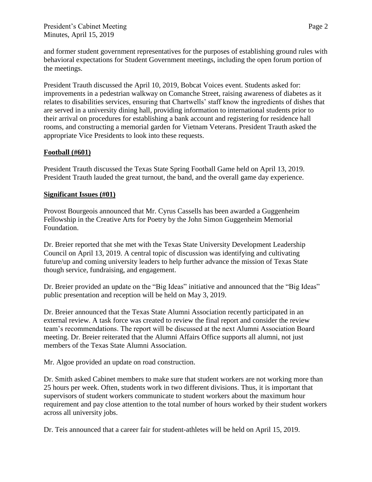and former student government representatives for the purposes of establishing ground rules with behavioral expectations for Student Government meetings, including the open forum portion of the meetings.

President Trauth discussed the April 10, 2019, Bobcat Voices event. Students asked for: improvements in a pedestrian walkway on Comanche Street, raising awareness of diabetes as it relates to disabilities services, ensuring that Chartwells' staff know the ingredients of dishes that are served in a university dining hall, providing information to international students prior to their arrival on procedures for establishing a bank account and registering for residence hall rooms, and constructing a memorial garden for Vietnam Veterans. President Trauth asked the appropriate Vice Presidents to look into these requests.

# **Football (#601)**

President Trauth discussed the Texas State Spring Football Game held on April 13, 2019. President Trauth lauded the great turnout, the band, and the overall game day experience.

## **Significant Issues (#01)**

Provost Bourgeois announced that Mr. Cyrus Cassells has been awarded a Guggenheim Fellowship in the Creative Arts for Poetry by the John Simon Guggenheim Memorial Foundation.

Dr. Breier reported that she met with the Texas State University Development Leadership Council on April 13, 2019. A central topic of discussion was identifying and cultivating future/up and coming university leaders to help further advance the mission of Texas State though service, fundraising, and engagement.

Dr. Breier provided an update on the "Big Ideas" initiative and announced that the "Big Ideas" public presentation and reception will be held on May 3, 2019.

Dr. Breier announced that the Texas State Alumni Association recently participated in an external review. A task force was created to review the final report and consider the review team's recommendations. The report will be discussed at the next Alumni Association Board meeting. Dr. Breier reiterated that the Alumni Affairs Office supports all alumni, not just members of the Texas State Alumni Association.

Mr. Algoe provided an update on road construction.

Dr. Smith asked Cabinet members to make sure that student workers are not working more than 25 hours per week. Often, students work in two different divisions. Thus, it is important that supervisors of student workers communicate to student workers about the maximum hour requirement and pay close attention to the total number of hours worked by their student workers across all university jobs.

Dr. Teis announced that a career fair for student-athletes will be held on April 15, 2019.